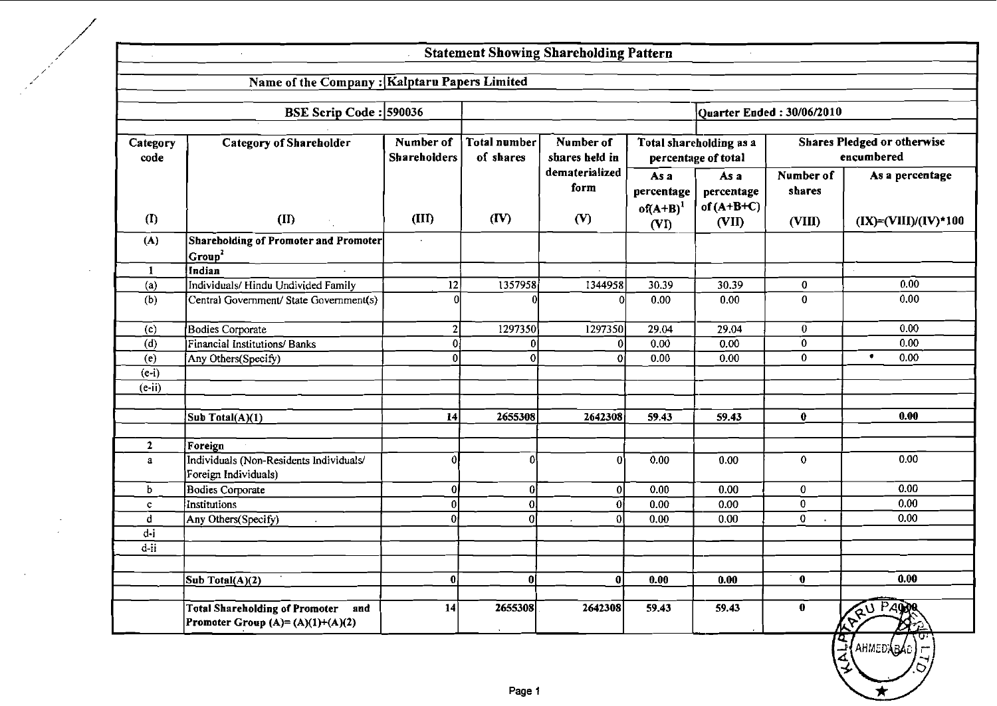# Statement Showing Shareholding Pattern

 $\sim$ 

 $\bar{z}$ 

|                    | Name of the Company : Kalptaru Papers Limited                                         |                                  |                           |                             |                                    |                                                |                             |                                                  |
|--------------------|---------------------------------------------------------------------------------------|----------------------------------|---------------------------|-----------------------------|------------------------------------|------------------------------------------------|-----------------------------|--------------------------------------------------|
|                    | BSE Scrip Code: 590036                                                                |                                  |                           |                             |                                    |                                                | Ouarter Ended: $30/06/2010$ |                                                  |
|                    |                                                                                       |                                  |                           |                             |                                    |                                                |                             |                                                  |
| Category<br>code   | <b>Category of Shareholder</b>                                                        | Number of<br><b>Shareholders</b> | Total number<br>of shares | Number of<br>shares held in |                                    | Total shareholding as a<br>percentage of total |                             | <b>Shares Pledged or otherwise</b><br>encumbered |
|                    |                                                                                       |                                  |                           | dematerialized<br>form      | As a<br>percentage<br>of $(A+B)^1$ | As a<br>percentage<br>of $(A+B+C)$             | Number of<br>shares         | As a percentage                                  |
| (1)                | (II)                                                                                  | (III)                            | (IV)                      | (V)                         | (VI)                               | (VII)                                          | (VIII)                      | $(IX) = (VIII)/(IV)$ *100                        |
| (A)                | <b>Shareholding of Promoter and Promoter</b><br>Group <sup>2</sup>                    |                                  |                           |                             |                                    |                                                |                             |                                                  |
| $\mathbf{1}$       | Indian                                                                                |                                  |                           | $\sim$                      |                                    |                                                |                             | $\epsilon$                                       |
| (a)                | Individuals/ Hindu Undivided Family                                                   | $\overline{12}$                  | 1357958                   | 1344958                     | 30.39                              | 30.39                                          | 0                           | 0.00                                             |
| (b)                | Central Government/ State Government(s)                                               | Λ                                |                           | Ω                           | 0.00                               | 0.00                                           | 0                           | 0.00                                             |
| (c)                | Bodies Corporate                                                                      | $\mathbf{2}$                     | 1297350                   | 1297350                     | 29.04                              | 29.04                                          | $\bf{0}$                    | 0.00                                             |
| (d)                | Financial Institutions/Banks                                                          | $\Omega$                         | οI                        | $\Omega$                    | 0.00                               | 0.00                                           | 0                           | 0.00                                             |
| (e)                | Any Others(Specify)                                                                   | $\Omega$                         | $\overline{\mathfrak{o}}$ | $\Omega$                    | 0.00                               | 0.00                                           | $\overline{0}$              | ٠<br>0.00                                        |
| $\overline{(e-i)}$ |                                                                                       |                                  |                           |                             |                                    |                                                |                             |                                                  |
| $(e-ii)$           |                                                                                       |                                  |                           |                             |                                    |                                                |                             |                                                  |
|                    |                                                                                       |                                  |                           |                             |                                    |                                                |                             |                                                  |
|                    | Sub Total(A)(1)                                                                       | 14                               | 2655308                   | 2642308                     | 59.43                              | 59.43                                          | $\bf{0}$                    | 0.00                                             |
|                    |                                                                                       |                                  |                           |                             |                                    |                                                |                             |                                                  |
| $\mathbf{2}$       | Foreign                                                                               |                                  |                           |                             |                                    |                                                |                             |                                                  |
| $\mathbf{a}$       | Individuals (Non-Residents Individuals/<br>Foreign Individuals)                       | Ô                                | ۵l                        | $\Omega$                    | 0.00                               | 0.00                                           | $\mathbf{0}$                | 0.00                                             |
| ь                  | <b>Bodies Corporate</b>                                                               | 01                               | $\boldsymbol{0}$          | 0                           | 0.00                               | $\overline{0.00}$                              | 0                           | 0.00                                             |
| $\mathbf{C}$       | Institutions                                                                          | $\mathbf{0}$                     | $\overline{0}$            | $\overline{0}$              | 0.00                               | 0.00                                           | $\overline{0}$              | 0.00                                             |
| d                  | Any Others(Specify)                                                                   | ۵l                               | Ωl                        | $\overline{0}$              | 0.00                               | 0.00                                           | 0                           | 0.00                                             |
| d-i                |                                                                                       |                                  |                           |                             |                                    |                                                |                             |                                                  |
| $d - ii$           |                                                                                       |                                  |                           |                             |                                    |                                                |                             |                                                  |
|                    | Sub Total(A)(2)                                                                       | $\bf{0}$                         | 01                        | 0                           | 0.00                               | 0.00                                           | $\mathbf 0$                 | 0.00                                             |
|                    | <b>Total Shareholding of Promoter and</b><br><b>Promoter Group (A)= (A)(1)+(A)(2)</b> | 14                               | 2655308                   | 2642308                     | 59.43                              | 59.43                                          | $\pmb{0}$                   | RAU PAPPA                                        |
|                    |                                                                                       |                                  |                           |                             |                                    |                                                | 4                           | <b>AHMEDABA</b> D                                |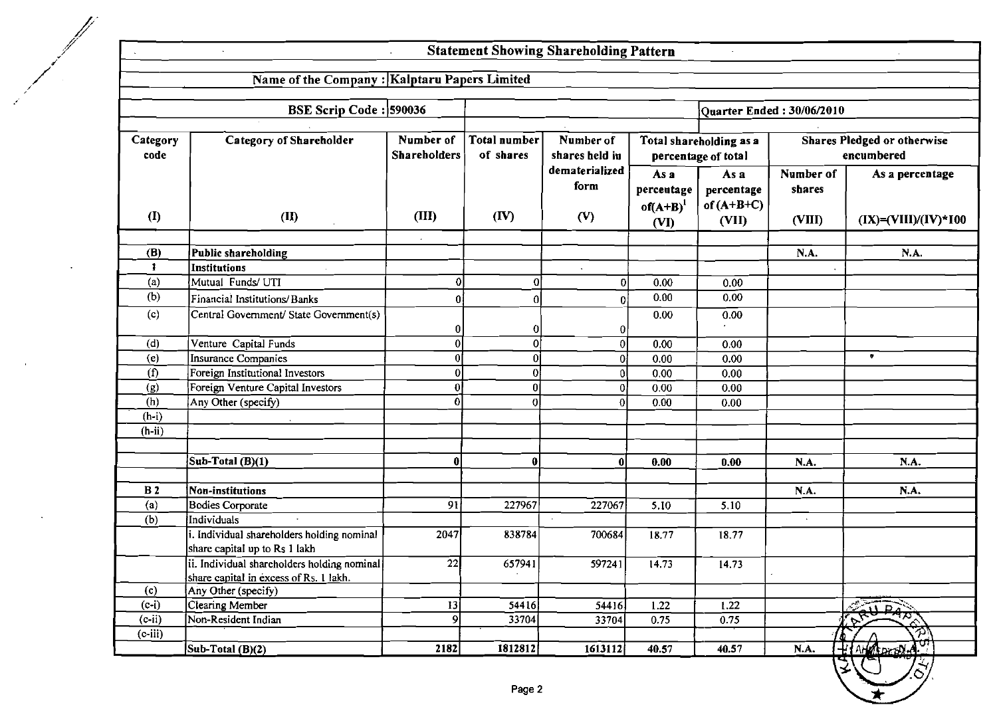# Statement Showing Shareholding Pattern

 $\alpha$ 

 $\ddot{\phantom{0}}$ 

|                  | <b>BSE Scrip Code: 590036</b>                                                         |                                  |                           |                               |                                             |                                                | Quarter Ended: 30/06/2010     |                                           |
|------------------|---------------------------------------------------------------------------------------|----------------------------------|---------------------------|-------------------------------|---------------------------------------------|------------------------------------------------|-------------------------------|-------------------------------------------|
| Category<br>code | <b>Category of Shareholder</b>                                                        | Number of<br><b>Shareholders</b> | Total number<br>of shares | Number of<br>shares held in   |                                             | Total shareholding as a<br>percentage of total |                               | Shares Pledged or otherwise<br>encumbered |
| (I)              | (II)                                                                                  | (III)                            | $(\mathbf{IV})$           | dematerialized<br>form<br>(V) | As a<br>percentage<br>$of(A+B)^{1}$<br>(VI) | As a<br>percentage<br>of $(A+B+C)$<br>(VII)    | Number of<br>shares<br>(VIII) | As a percentage<br>$(IX)=(VIII)/(IV)*100$ |
| (B)              | Public shareholding                                                                   |                                  |                           |                               |                                             |                                                | N.A.                          | N.A.                                      |
| 1                | Institutions                                                                          |                                  |                           | $\bullet$                     |                                             |                                                |                               |                                           |
| (a)              | Mutual Funds/ UTI                                                                     | $\Omega$                         | $\Omega$                  | $\Omega$                      | 0.00                                        | 0.00                                           |                               |                                           |
| (b)              | Financial Institutions/Banks                                                          |                                  | O                         | ΩI                            | 0.00                                        | 0.00                                           |                               |                                           |
| (c)              | Central Government/ State Government(s)                                               | 01                               | 0                         |                               | 0.00                                        | 0.00                                           |                               |                                           |
| (d)              | Venture Capital Funds                                                                 | 0l                               | $\mathbf 0$               | $\Omega$                      | 0.00                                        | 0.00                                           |                               |                                           |
| (e)              | Insurance Companies                                                                   | $\overline{0}$                   | $\bf{0}$                  |                               | 0.00                                        | 0.00                                           |                               | $\bullet$                                 |
| (f)              | Foreign Institutional Investors                                                       | οl                               | $\bf{0}$                  |                               | 0.00                                        | 0.00                                           |                               |                                           |
| (g)              | Foreign Venture Capital Investors                                                     | 01                               | 0                         |                               | 0.00                                        | 0.00                                           |                               |                                           |
| (h)              | Any Other (specify)                                                                   | 0                                | $\theta$                  |                               | 0.00                                        | 0.00                                           |                               |                                           |
| $(h-i)$          |                                                                                       |                                  |                           |                               |                                             |                                                |                               |                                           |
| $(h-ii)$         |                                                                                       |                                  |                           |                               |                                             |                                                |                               |                                           |
|                  | Sub-Total (B)(1)                                                                      | $\mathbf{0}$                     | $\bf{0}$                  | $\mathbf{0}$                  | 0.00                                        | 0.00                                           | N.A.                          | N.A.                                      |
| B <sub>2</sub>   | Non-institutions                                                                      |                                  |                           |                               |                                             |                                                | N.A.                          | N.A.                                      |
| (a)              | Bodies Corporate                                                                      | 91                               | 227967                    | 227067                        | 5.10                                        | 5.10                                           |                               |                                           |
| (b)              | Individuals                                                                           |                                  |                           |                               |                                             |                                                |                               |                                           |
|                  | i. Individual shareholders holding nominal<br>share capital up to Rs 1 lakh           | 2047                             | 838784                    | 700684                        | 18.77                                       | 18.77                                          |                               |                                           |
|                  | ii. Individual shareholders holding nominal<br>share capital in excess of Rs. 1 lakh. | 22                               | 657941                    | 597241                        | 14.73                                       | 14.73                                          |                               |                                           |
| (c)              | Any Other (specify)                                                                   |                                  |                           |                               |                                             |                                                |                               |                                           |
| $(c-i)$          | <b>Clearing Member</b>                                                                | 13                               | 54416                     | 54416                         | 1.22                                        | $\overline{1.22}$                              |                               | Fau PART                                  |
| $(c-ii)$         | Non-Resident Indian                                                                   | 9 <sup>1</sup>                   | 33704                     | 33704                         | 0.75                                        | 0.75                                           |                               | $\mathbf{v}^{\mathbf{r}}$                 |
| $(c$ -iii)       |                                                                                       |                                  |                           |                               |                                             |                                                |                               | 7                                         |
|                  | Sub-Total $(B)(2)$                                                                    | 2182                             | 1812812                   | 1613112                       | 40.57                                       | 40.57                                          | N.A.                          | HAM CONST.                                |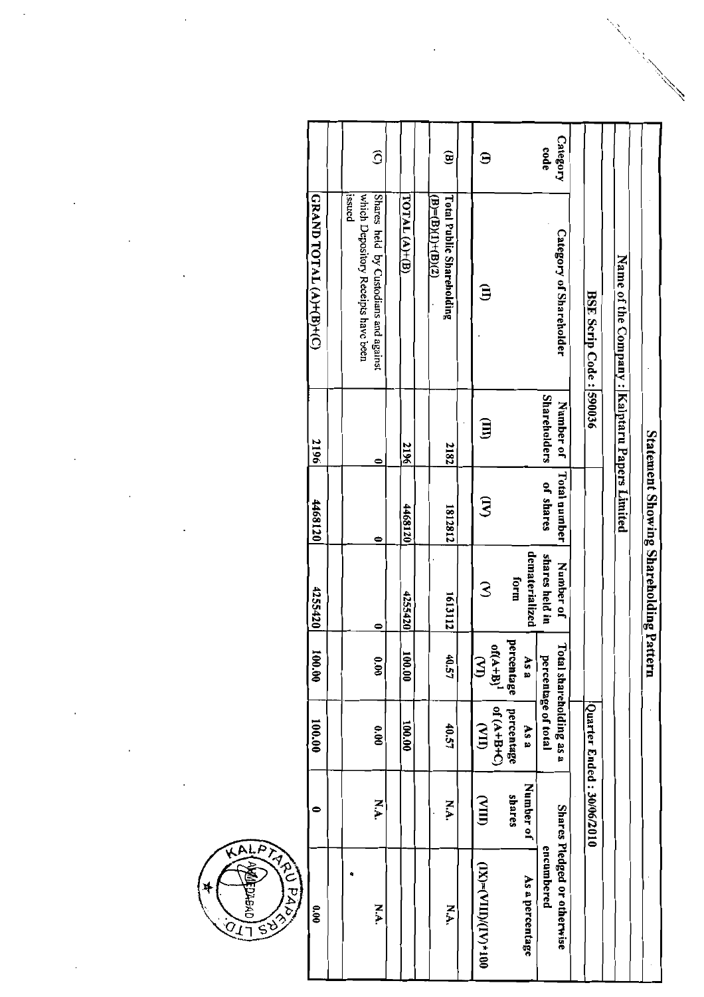| 0.00                        | 0                         | 100.00                 | 100.001        | 4255420                                | 4468120             | 2196                | <b>GRAND TOTAL (A)+(B)+(C)</b>                            |                        |
|-----------------------------|---------------------------|------------------------|----------------|----------------------------------------|---------------------|---------------------|-----------------------------------------------------------|------------------------|
|                             |                           |                        |                |                                        |                     |                     |                                                           |                        |
|                             |                           |                        |                |                                        |                     |                     | which Depository Receipts have been<br>issued             |                        |
| N.A.                        | N.A.                      | 0.00                   | 0.00           | $\bullet$                              | 0                   | 0                   | Shares held by Custodians and against                     | $\widehat{\circ}$      |
|                             |                           |                        |                |                                        |                     |                     |                                                           |                        |
|                             |                           | 100.00                 | 100.00         | 4255420                                | 4468120             | 2196                | $TOTAL(A)+(B)$                                            |                        |
|                             |                           |                        |                |                                        |                     |                     |                                                           |                        |
| N.A.                        | XA                        | 40.57                  | 40.57          | 1613112                                | 1812812             | 2182                | <b>Total Public Shareholding</b><br>$B = (B)(1) + (B)(2)$ | $\mathbf{\widehat{g}}$ |
|                             |                           |                        |                |                                        |                     |                     |                                                           |                        |
| (IX)=(VIII)/(IV)*100        | $\sum_{i=1}^n$            | $\sum_{i=1}^{n}$       | $\mathbf{S}$   | 3                                      | डि                  | Ĵ                   | Э                                                         | Ξ                      |
|                             |                           | $O(H+B+C)$             | $h(A+B)^{1}$   |                                        |                     |                     |                                                           |                        |
|                             | shares                    | percentage             | Ξ<br>ercentage | form                                   |                     |                     |                                                           |                        |
| As a percentage             | Number of                 | As a                   | As a           | dematerialized                         |                     |                     |                                                           |                        |
| encumbered                  |                           | percentage of total    |                | shares held in                         | of shares           | <b>Shareholders</b> |                                                           | code                   |
| Shares Pledged or otherwise |                           | otal shareholding as a |                | Number of                              | <b>Total number</b> | Number of           | Category of Shareholder                                   | Category               |
|                             |                           |                        |                |                                        |                     |                     |                                                           |                        |
|                             | Quarter Ended: 30/06/2010 |                        |                |                                        |                     |                     | BSE Scrip Code: 590036                                    |                        |
|                             |                           |                        |                |                                        |                     |                     |                                                           |                        |
|                             |                           |                        |                |                                        |                     |                     | Name of the Company : Kalptaru Papers Limited             |                        |
|                             |                           |                        |                |                                        |                     |                     |                                                           |                        |
|                             |                           |                        |                | Statement Showing Shareholding Pattern |                     |                     |                                                           |                        |
|                             |                           |                        |                |                                        |                     |                     |                                                           |                        |



 $\ddot{\phantom{0}}$ 

 $\ddot{\phantom{0}}$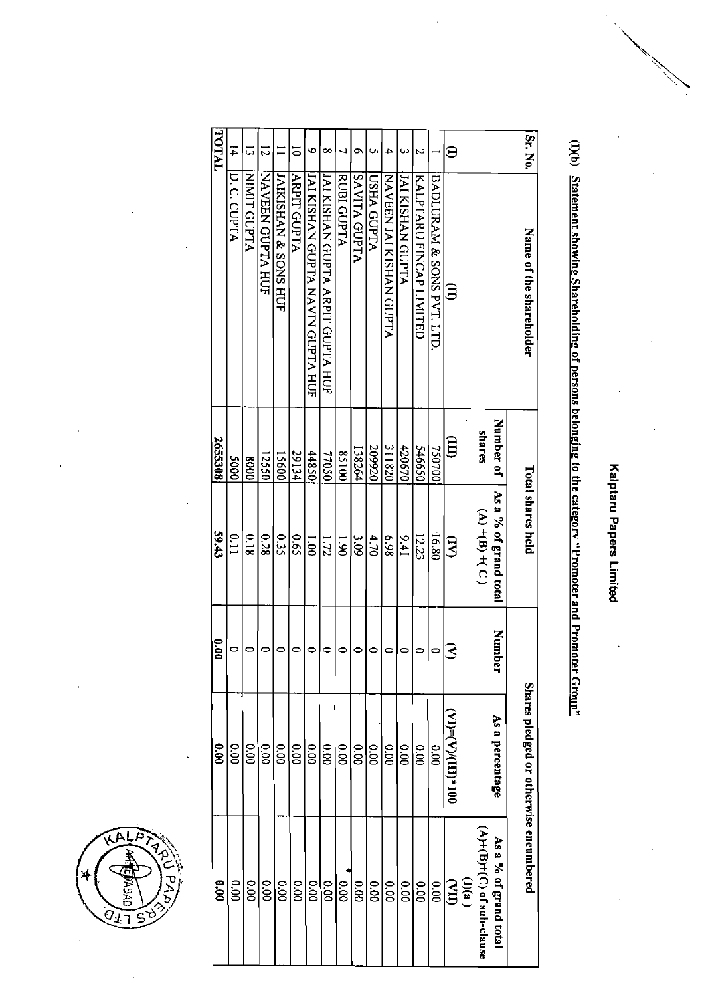Kalptaru Papers Limited

# (I)(b) Statement showing Shareholding of persons belonging to the category "Promoter and Promoter Group"

| Sr. No.        | Name of the shareholder                 |                        | <b>Total shares held</b>                       |               | Shares pledged or otherwise encumbered                        |                                                      |
|----------------|-----------------------------------------|------------------------|------------------------------------------------|---------------|---------------------------------------------------------------|------------------------------------------------------|
|                |                                         | Number of<br>shares    | As a % of grand total<br>$(A)$ + $(B)$ + $(C)$ | Number        | As a percentage                                               | $(A)+(B)+(C)$ of sub-clause<br>As a % of grand total |
|                |                                         |                        |                                                |               |                                                               | $\sum_{(n)0}$                                        |
| Э              | 3                                       | $\widehat{\mathbb{H}}$ | З                                              |               | $\mathrm{MD}=\mathrm{C}\mathrm{N}(\mathrm{H}\mathrm{D}^*$ 100 |                                                      |
|                | BADLURAM & SONS PVT. LTD                | 750700                 | 16.80                                          | 0             | 000                                                           | 0.00                                                 |
|                | KALPTARU FINCAP LIMITED                 | 09945                  | 12.23                                          | 0             | 000                                                           | 00.00                                                |
|                | JAI KISHAN GUPTA                        | 420670                 | 146                                            | 0             | 0.00                                                          | 0.00                                                 |
|                | NAVEEN JAI KISHAN GUPTA                 | 311820                 | 869                                            | 0             | 000                                                           | 00.00                                                |
|                | <b>USHA GUPTA</b>                       | 209920                 | 4.70                                           |               | 000                                                           | 00.00                                                |
| ຶ              | <b>AYITA GUPTA</b>                      | 138264                 | 9.09                                           | $\circ$       | 00.00                                                         | 00.00                                                |
|                | RUBI GUPTA                              | 00158                  | $\overline{1.90}$                              | $\circ$       | 00.00                                                         | 0.00                                                 |
| ∞              | <b>JAI KISHAN GUPTA ARPIT GUPTA HUF</b> | 77050                  | 1.72                                           | 0             | 0.00                                                          | 00.00                                                |
| ۰              | IAI KISHAN GUPTA NAVIN GUPTA HUF        | 05844                  | 00'1                                           |               | 000                                                           | 00.00                                                |
| $\overline{0}$ | <b>ARPIT GUPTA</b>                      | 29134                  | 59.0                                           | 0             | 000                                                           | 00.00                                                |
|                | JAIKISHAN & SONS HUF                    | 15600                  | 550                                            | 0             | 000                                                           | 0.00                                                 |
| 12             | NAVEEN GUPTA HUF                        | 12550                  | 0.28                                           | 0             | 0.00                                                          | 00.00                                                |
| 5              | NINIT GUPTA                             | 8000                   | 810                                            | 0             | 00.00                                                         | 00.00                                                |
| Ħ,             | D. C. CUPTA                             | 0005                   | 0.11                                           | 0             | 00.00                                                         | 00.00                                                |
| IATAL          |                                         | 2655308                | 59.43                                          | $\frac{6}{6}$ | $\frac{6}{3}$                                                 | 0.00                                                 |

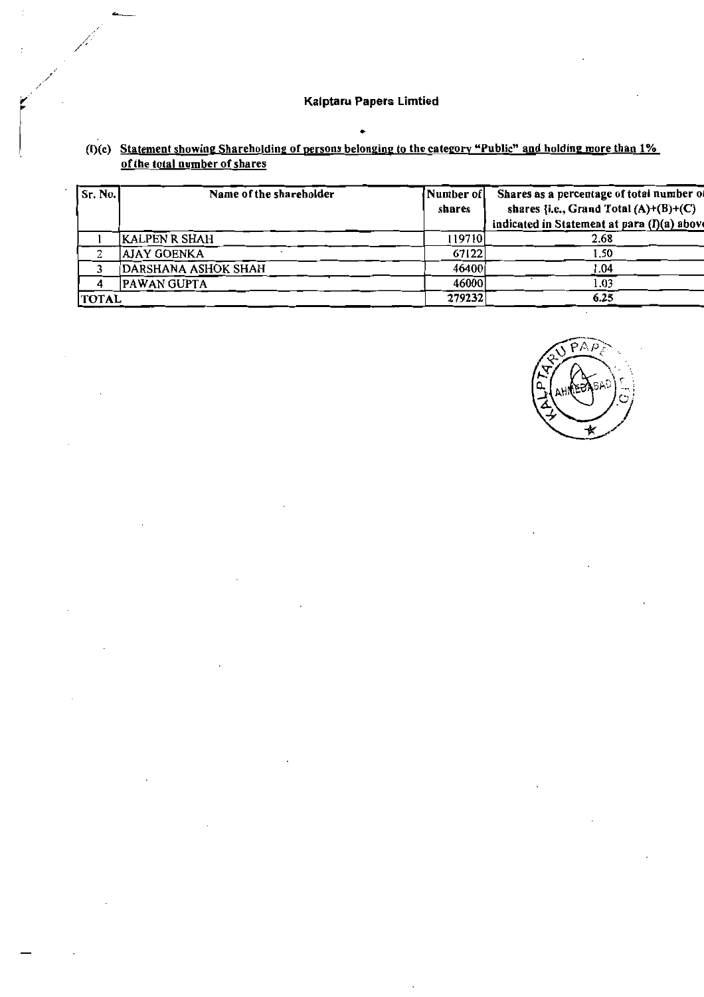| Sr. No.      | Name of the shareholder | Number of | Shares as a percentage of total number of   |
|--------------|-------------------------|-----------|---------------------------------------------|
|              |                         | shares    | shares {i.e., Grand Total $(A)+(B)+(C)$     |
|              |                         |           | indicated in Statement at para (I)(a) above |
|              | <b>KALPEN R SHAH</b>    | 119710    | 2.68                                        |
|              | <b>AJAY GOENKA</b>      | 67122     | 1.50                                        |
|              | DARSHANA ASHOK SHAH     | 46400     | 1.04                                        |
|              | PAWAN GUPTA             | 46000     | 1.03                                        |
| <b>TOTAL</b> |                         | 279232    | 6.25                                        |

# (I)(c) Statement showing Shareholding of persons belonging to the category "Public" and holding more than  $1\%$  of the total number of shares

 $\bullet$ 

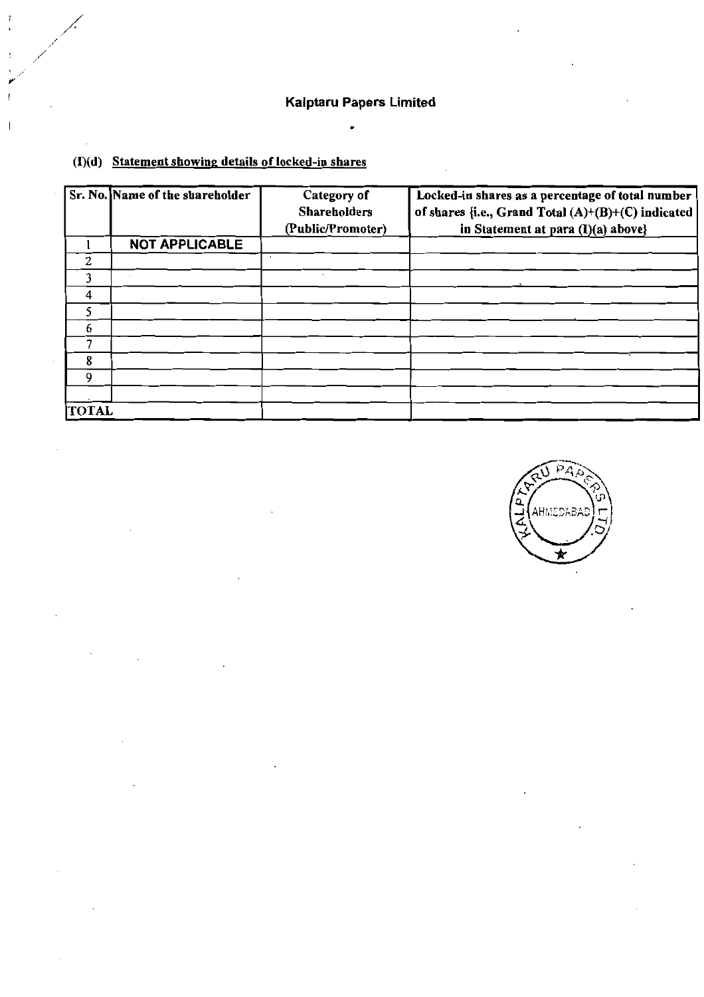$\bullet$ 

|                | Sr. No. Name of the shareholder | Category of<br><b>Shareholders</b><br>(Public/Promoter) | Locked-in shares as a percentage of total number<br>of shares {i.e., Grand Total $(A)+(B)+(C)$ indicated<br>in Statement at para (I)(a) above} |
|----------------|---------------------------------|---------------------------------------------------------|------------------------------------------------------------------------------------------------------------------------------------------------|
|                | <b>NOT APPLICABLE</b>           |                                                         |                                                                                                                                                |
| $\overline{2}$ |                                 |                                                         |                                                                                                                                                |
| 3              |                                 |                                                         |                                                                                                                                                |
| 4              |                                 |                                                         |                                                                                                                                                |
| 5              |                                 |                                                         |                                                                                                                                                |
| 6              |                                 |                                                         |                                                                                                                                                |
| 7              |                                 |                                                         |                                                                                                                                                |
| 8              |                                 |                                                         |                                                                                                                                                |
| 9              |                                 |                                                         |                                                                                                                                                |
|                |                                 |                                                         |                                                                                                                                                |
| <b>TOTAL</b>   |                                 |                                                         |                                                                                                                                                |

## $(I)(d)$  Statement showing details of locked-in shares